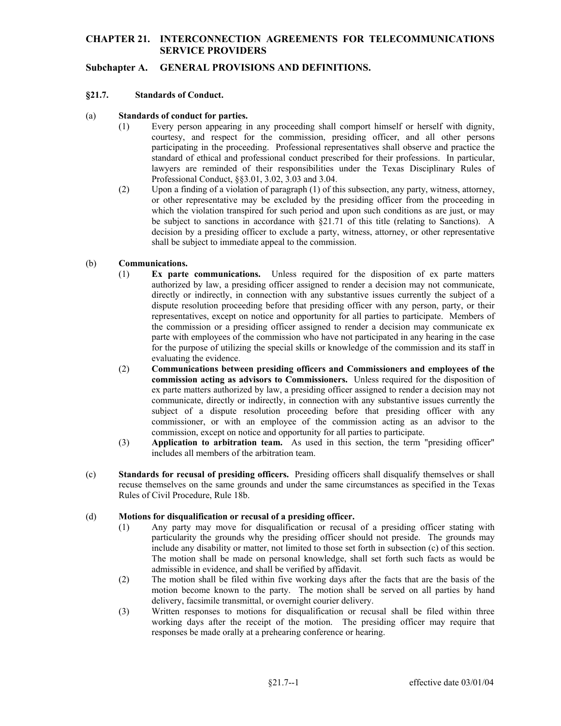### **CHAPTER 21. INTERCONNECTION AGREEMENTS FOR TELECOMMUNICATIONS SERVICE PROVIDERS**

# **Subchapter A. GENERAL PROVISIONS AND DEFINITIONS.**

### **§21.7. Standards of Conduct.**

- (a) **Standards of conduct for parties.** 
	- standard of ethical and professional conduct prescribed for their professions. In particular, (1) Every person appearing in any proceeding shall comport himself or herself with dignity, courtesy, and respect for the commission, presiding officer, and all other persons participating in the proceeding. Professional representatives shall observe and practice the lawyers are reminded of their responsibilities under the Texas Disciplinary Rules of Professional Conduct, §§3.01, 3.02, 3.03 and 3.04.
	- which the violation transpired for such period and upon such conditions as are just, or may be subject to sanctions in accordance with §21.71 of this title (relating to Sanctions). A (2) Upon a finding of a violation of paragraph (1) of this subsection, any party, witness, attorney, or other representative may be excluded by the presiding officer from the proceeding in decision by a presiding officer to exclude a party, witness, attorney, or other representative shall be subject to immediate appeal to the commission.

### (b) **Communications.**

- (1) **Ex parte communications.** Unless required for the disposition of ex parte matters authorized by law, a presiding officer assigned to render a decision may not communicate, directly or indirectly, in connection with any substantive issues currently the subject of a dispute resolution proceeding before that presiding officer with any person, party, or their representatives, except on notice and opportunity for all parties to participate. Members of the commission or a presiding officer assigned to render a decision may communicate ex parte with employees of the commission who have not participated in any hearing in the case for the purpose of utilizing the special skills or knowledge of the commission and its staff in evaluating the evidence.
- commission, except on notice and opportunity for all parties to participate. (2) **Communications between presiding officers and Commissioners and employees of the commission acting as advisors to Commissioners.** Unless required for the disposition of ex parte matters authorized by law, a presiding officer assigned to render a decision may not communicate, directly or indirectly, in connection with any substantive issues currently the subject of a dispute resolution proceeding before that presiding officer with any commissioner, or with an employee of the commission acting as an advisor to the
- (3) **Application to arbitration team.** As used in this section, the term "presiding officer" includes all members of the arbitration team.
- (c) **Standards for recusal of presiding officers.** Presiding officers shall disqualify themselves or shall recuse themselves on the same grounds and under the same circumstances as specified in the Texas Rules of Civil Procedure, Rule 18b.

#### (d) **Motions for disqualification or recusal of a presiding officer.**

- $(1)$  particularity the grounds why the presiding officer should not preside. The grounds may include any disability or matter, not limited to those set forth in subsection (c) of this section. Any party may move for disqualification or recusal of a presiding officer stating with The motion shall be made on personal knowledge, shall set forth such facts as would be admissible in evidence, and shall be verified by affidavit.
- (2) The motion shall be filed within five working days after the facts that are the basis of the motion become known to the party. The motion shall be served on all parties by hand delivery, facsimile transmittal, or overnight courier delivery.
- (3) Written responses to motions for disqualification or recusal shall be filed within three working days after the receipt of the motion. The presiding officer may require that responses be made orally at a prehearing conference or hearing.